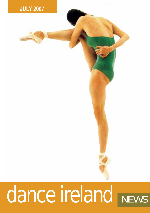

# dance ireland NEWS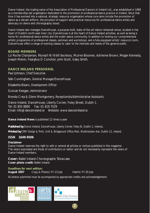Dance Ireland, the trading name of the Association of Professional Dancers in Ireland Ltd., was established in 1989 as a membership-led organisation dedicated to the promotion of professional dance practice in Ireland. Since that time it has evolved into a national, strategic resource organisation whose core aims include the promotion of dance as a vibrant artform, the provision of support and practical resources for professional dance artists and advocacy on dance and choreography issues.

Dance Ireland also manages DanceHouse, a purpose-built, state-of-the-art dance rehearsal venue, located in the heart of Dublin's north-east inner city. DanceHouse is at the heart of Dance Ireland activities, as well as being a home for professional dance artists and the wider dance community. In addition to hosting our comprehensive artistic programme of professional classes, seminars and workshops, and a fully-equipped artists' resource room, DanceHouse offers a range of evening classes to cater to the interests and needs of the general public.

## **BOARD MEMBERS**

Liz Roche *Chairperson*, Ríonach Ní Néill *Secretary*, Muirne Bloomer, Adrienne Brown, Megan Kennedy, Joseph Melvin, Fearghus Ó Conchúir, John Scott, Gaby Smith.

## **DANCE IRELAND PERSONNEL**

Paul Johnson, *Chief Executive*

Siân Cunningham, *General Manager/DanceHouse* 

Elisabetta Bisaro, *Development Officer*

Duncan Keegan, *Administrator* 

Brenda Crea & Glenn Montgomery, *Receptionists/Administrative Assistants* 

Dance Ireland, DanceHouse, Liberty Corner, Foley Street, Dublin 1. Tel: 01 855 8800 Fax: 01 819 7529 Email: info@danceireland.ie Website: www.danceireland.ie

**Dance Ireland News** is published 12 times a year

*Published by Dance Ireland, DanceHouse, Liberty Corner, Foley St, Dublin 1, Ireland.*

*Printed by CRM Design & Print, Unit 6, Bridgecourt Office Park, Walkinstown Ave. Dublin 12, Ireland.*

## **ISSN 1649-9506**

#### **Disclaimer**

Dance Ireland reserves the right to edit or amend all articles or notices published in this magazine. The views expressed are those of contributors or editor and do not necessarily represent the views of Dance Ireland members.

**2**

**Cover:** Ballet Ireland Choreographic Showcase **Cover photo credit:** Ballet Ireland

#### **Deadlines for next edition:**

**August 2007** Copy & Photos: Fri 13 July Inserts: Fri 20 July

*All photos submitted must be accompanied by appropriate credits and acknowledgements*

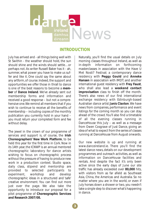

## **INTRODUCTION**

July has arrived and - all things being well with St Swithin - the weather should hold, the sun should shine and the winds should settle…or perhaps not. As writer Russell Baker has it - ah, summer, what power you have to make us suffer and like it. One could say the same about any artform, of course. Indeed, the support and opportunities we offer those in thrall to dance is one of the best reasons to become a **member** of **Dance Ireland**. We've already sent out membership forms and information and received a good response – but not a comprehensive one.We remind all members that if you wish to continue to receive all the benefits of membership – including copies of the monthly publication you currently hold in your hand – you must return your completed form and fee without delay.

The jewel in the crown of our programme of services and support is, of course, the **Irish Choreographers' New Work Platform**, to be held this year for the first time in Cork. Now in its 14th year, the ICNWP is an annual mentored choreographic laboratory for dance artists wishing to focus on choreographic process without the pressure of having to produce new work in a production context. Studio space, daily class, stipend and mentorship are provided to selected participants to experiment, workshop and develop choreographic ideas in a structured and 'safe' creative environment. You can find out more just over the page. We also take the opportunity to introduce our proposal for a pilot programme of **Choreographic Services and Research 2007/08.**

Naturally, you'll find the usual details on July morning classes throughout Ireland, as well as in-depth information on forthcoming masterclasses in association with the Have U Met Nosti? Festival; a contemporary dance residency with **Peggy Gould** and **Anneke Hansen** in association with IMDT; and another international guest residency with **Frey Faust**, who shall also lead a **weekend contact improvisation** class to finish off the month. There's also news of our first international exchange residency with Edinburgh-based Australian dance artist **Janis Claxton**. We have news from companies, performance and event listings for the coming month so you can stay ahead of the crowd. You'll also find a timetable of all the evening classes running in DanceHouse this July – as well as a message from Owen Cosgrave of Just Dance, giving an idea of what to expect from the series of classes running at DanceHouse from August onwards.

Our new website is up and running at www.danceireland.ie. There you'll find the latest dance news, details on our development programmes and outreach activities, as well as information on DanceHouse facilities and rentals. And despite the fact it's only been active since the early days of June our site traffic has already exceeded over **80,000** hits, with visitors from as far afield as Southeast Asia, China, the Americas and Australia. So no matter where you are in the world, or even if July horses down a shower or two, you needn't take a single step to discover what's happening in dance.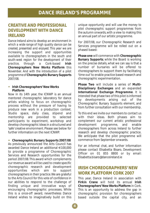# **CREATIVE AND PROFESSIONAL DEVELOPMENT WITH DANCE IRELAND**

*Dance Ireland aims to develop an environment in which a wide range of high quality dance can be created, presented and enjoyed. This year we are increasing the support and opportunities available to choreographers in the south and south-west region for the development of their practice, through a Cork-based Irish Choreographers New Works Platform this November. And with the introduction of a pilot programme of Choreographic Bursary Supports 2007/08.*

#### **Irish Choreographers' New Works Platform**

Now in its 14th year, the ICNWP is an annual mentored choreographic laboratory for dance artists wishing to focus on choreographic process without the pressure of having to produce new work in a production context. Studio space, daily class, stipend and mentorship are provided to selected participants to experiment, workshop and develop choreographic ideas in a structured and 'safe' creative environment. Please see below for further information on the next ICNWP.

#### **Choreographic Bursary Supports 2007/08**

As previously announced the Arts Council has awarded Dance Ireland an additional €100,000 to provide a programme of Choreographic Services and Research opportunities for the period 2007/08. This award which complements our revenue award will be used to create specific choreographic research and development opportunities which aim to support choreographers in their practice.We are grateful to the Arts Council for this vote of confidence in our abilities to respond to the challenge of finding unique and innovative ways of encouraging choreographic processes. While this is a once-off award, nevertheless Dance Ireland wishes to imaginatively build on this unique opportunity and will use the money to *pilot choreographic support programmes* from the autumn onwards, with a view to making this an annual part of our artistic programme.

For 2007/08, our Choreographic Research and Services programme will be rolled out on a phased based:

**Phase one** will commence with **Choreographic Bursary Supports**; while the Board is working on the precise details, what we can say is that a number of bursaries will be offered to choreographers to support them by facilitating 'time out' to enable practice based research and choreographic experimentation.

**Phase Two** will include a series of **Multi-Disciplinary Exchanges** and an expanded **International Exchange Programme**. It is intended that phase two of this pilot is informed by developments arising out of the Choreographic Bursary Supports element, and from further consultation with our membership.

To this end we invite our members to contact us with their ideas. Both phases aim to complement our current artistic professional development programme, and enable choreographers from across Ireland to further research and develop choreographic practice. We anticipate that the pilot programme will commence from September onwards.

For an informal chat, and further information please contact Elisabetta Bisaro, Development Officer on 01 855 8800 or by email: Elisabetta.bisaro@danceireland.ie

# **IRISH CHOREOGRAPHERS' NEW WORK PLATFORM CORK 2007**

This year, Dance Ireland in association with **Firkin Crane** will hold its annual **Irish Choreographers' New Works Platform** in Cork. This is an opportunity to address the gap in choreographic provision for choreographers based outside the capital city, and an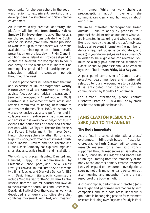opportunity for choreographers in the southwest region to experiment, workshop and develop ideas in a structured and 'safe' creative environment.

An intensive 8-day creative laboratory, the platform will be held from **Sunday 4th to Sunday 11th November** inclusive. The focus is on choreographers from outside the Dublin area. Studio space (max: 30 hours) and provision to work with up to three dancers will be made available, culminating in an informal studio presentation on the last day in Firkin Crane. In addition, Dance Ireland will provide a stipend to enable the selected choreographers to focus exclusively on the work process. There will be morning class provided for all participants and<br>scheduled critical discussion periods scheduled critical discussion periods throughout the week.

This year, participants will benefit from the time and expertise of UK choreographer **Wendy Houstoun**, who will act as **mentor**, by providing advice, feedback and critical discussion. A Jerwood Choreography Award recipient (2003), Houstoun is a movement/theatre artist who remains committed to finding new forms to address her themes. Since 1980, Houstoun has worked extensively as a solo performer and in collaboration with a diverse range of companies and artists whose work challenges, enriches, and extends the boundaries of dance and theatre. Her work with DV8 Physical Theatre, Tim Etchells and Forced Entertainment, film-maker David Hinton, choreographers Jonathan Burrows, and Nigel Charnock, performance artist Rose English, Gloria Theatre, Lumiere and Son Theatre and Ludus Dance Company has explored large and small stages, specific sites, film and installation.

Wendy's solo pieces, *Haunted, Daunted and Flaunted*, *Happy Hour* (commissioned by Chisenhale Dance Space), and *The 48 Almost Love Lyrics* have all toured Europe. She has made two films, *Touched* and *Diary of a Dancer* for BBC with David Hinton. Site-specific commissions include *Mind the Gap* for the South Bank Centre, *Reverse Effect* for Cultural Industry and *Take Me to the River* for the South Bank and Greenwich & Docklands Festival. Over the years, her work has developed a uniquely distinctive style that combines movement with text, and meaning with humour. While her work challenges preconceptions about movement, she communicates clearly and humorously about our culture.

We invite interested choreographers based outside Dublin to apply by proposal. Your proposal should include an outline of what you are interested in exploring and what you would like to achieve by the end of the platform. Please include all relevant information (i.e. number of dancers required, possible collaborators, and music) in your document, as well as a current CV. In order to be eligible for consideration, you must be a fully paid professional member of Dance Ireland. All proposals should be emailed, by close of business on **Friday 31st August**.

A peer panel comprising of Dance Ireland executive, board members and mentor will select up to four choreographers to participate. It is anticipated that decisions will be communicated by Monday 17 September.

For further information, please contact Elisabetta Bisaro on 01 884 8101 or by email: elisabetta.bisaro@danceireland.ie.

# **JANIS CLAXTON RESIDENCY – 23RD JULY TO 4TH AUGUST**

## **The Body Immediate**

As the first in a series of international artists' exchanges, Edinburgh-based Australian choreographer **Janis Claxton** will continue to research material for a new solo work supported through residencies at DanceHouse Dublin, Dance House Glasgow, and Dance Base Edinburgh. Starting from the immediacy of the body as the dancers primary creative resource, Janis will expand on her current investigations; sourcing not only movement and sensation, but also meaning and metaphor from the vast resource of the body in motion.

A choreographer, performer and teacher, Janis has taught and performed internationally with companies, and as a solo artist. Her work is grounded in her ongoing passion for movement research including over 20 years of study in Erick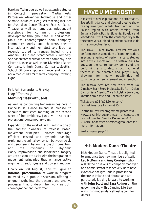Hawkins Technique, as well as extensive studies in Contact Improvisation, Martial Arts, Percussion, Alexander Technique and other Somatic Therapies. Her guest teaching includes for Australian Dance Theatre, Scottish Dance Theatre as well as numerous independent workshops for continuing professional development throughout the UK and abroad. Janis has choreographed solo, company, community works and children's theatre internationally and her latest solo Blue has recently toured to venues including the Arnolfini, ROH2 and Staadtheater Nuremberg, She has created work for her own company Janis Claxton Dance, as well as for Diversions Dance Company, Uhhuh Dance Company, Scottish School Of Contemporary Dance, and for the acclaimed children's theatre company Traveling Light.

## *Fall, Fall, Surrender to Gravity, Leap Effortlessly!* – **Morning Class with Janis**

As well as conducting her researches here in DanceHouse, Dance Ireland is pleased to announce that each morning of the second week of her residency, Janis will also teach professional contemporary class.

Expanding on the work of Erick Hawkins - one of the earliest pioneers of 'release based' movement principles - classes encourage efficient, easeful and dynamic dancing, exploring the animal dynamism between pelvic and peripheral initiation, the joys of momentum, and the dynamics of rhythmic clarity. Improvisation and ideokinetic imagery are used as tools to assist with the integration of movement principles that enhance active alignment, freedom, ease and power in motion.

Finally, on **3rd August**, Janis will give an **informal presentation** of work in progress followed by a public discussion, offering a unique insight into the dynamic and creative processes that underpin her work as both choreographer and performer.

# **HAVE U MET NOSTI?**

A festival of new explorations in performance, live art, film, dance and physical theatre; show casing emerging artists from around the Balkan region with artists coming from Bulgaria, Serbia, Bosnia, Slovenia, Slovakia, and Macedonia. It will mix the contemporary with the controversial, blending ardent Balkan spirit with a conceptual fervor.

The Have U Met Nosti? Festival explores performance as a medium of communication, injecting a variety of performance strategies into artistic expression. The festival aims to question the contemporary politics of the performing arts; to deconstruct traditional theatre in an anarchic and playful way, allowing for many possibilities of communication, engagement and interaction.

The festival features new work from Ivo Dimchev, Brain Store Project, Dalija Acin, Dejan Garbos, Sasa Asentic, Mare Bulc, Iskra Sukarova, Katerina Mojzisova and Galina Borissova.

Tickets are €15 (€12.50 for conc.) Festival Pass for all shows €75.

For the full festival programme please visit www.balkanirishartsforum.com or contact the Festival Director, **Sascha Perfect** on 087 9172100 or at sascha.perfect@gmail.com for more information.

*See listings on page 15.*

# **Irish Modern Dance Theatre**

Irish Modern Dance Theatre is delighted to announce two new members of staff, **Leo McKenna** and **Amy Corrigan**, who will fill the positions of company manager and administrator respectively. Both have extensive backgrounds in professional theatre in Ireland and abroad and are particularly looking forward to working with **John Scott** and **Sara Rudner** on the upcoming show *This Dancing Life*. See www.irishmoderndancetheatre.com for details.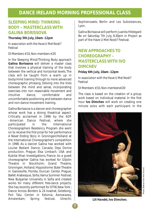# **DANCE IRELAND MORNING PROFESSIONAL CLASS**

# **SLEEPING MIND/ THINKING BODY – MASTERCLASS WITH GALINA BORISSOVA**

#### **Thursday 5th July, 10am -12pm**

*In association with the Have U Met Nosti? Festival*

#### *DI Members €10, Non-members €20*

In the Sleeping Mind/Thinking Body approach **Galina Borissova** will deliver a master class that involves a physical training of the body between the vertical and horizontal levels. The class will be taught from a warm up in body/mind training through to more advanced choreographic phrasing. Delving into the links between the mind and sense, incorporating exercises into non reasonable movement and intuitive dance, comfortable and uncomfortable positioning and between dance and non-dance movement training.

Galina Borissova is a dancer and choreographer whose work has a strong theatrical aspect. Critically acclaimed in 1996 by the ADF –American Dance Festival, where she participated in the International Choreographers Residency Program she went on to receive the first prize for her performance *A Never Ending Story* in Groningen/Holland at the International Choreographer's competition in 1998. As a dancer Galina has worked with Louise Bedard Dance, Canada; *Deja Donne* production, Prague; Elsa Limbach, USA and Kubilai Khan Investigations, France. As a guest choreographer Galina has worked for *Giljotin* Theatre in Stockholm; Grand Theatre, Groningen, Holland; Hippodrome State Theatre in Gainesville, Florida; Duncan Center, Prague; Ballet Arabesque, Sofia; Varna Summer Festival; New Bulgarian University in Sofia and created works for many different free-lance projects. She has recently performed for DTW, New York ; Dance Across Borders & 24 kvadrat, Goteborg; Poli Talu Center in Estonia; Aerowaves, Amsterdam; Spring festival, Utrecht; Sophienzaele, Berlin and Les Subsistances, Lyon.

Galina Borissova will perform Juanita Hildegard Bo on Saturday 7th July, 8.30pm in Project as part of the Have U Met Nosti? Festival.

# **NEW APPROACHES TO CHOREOGRAPHY – MASTERCLASS WITH IVO DIMCHEV**

## **Friday 6th July, 10am -12pm**

*In association with the Have U Met Nosti? Festival*

## *DI Members €10, Non-members€20*

The class is based on the creation of a group work based on individual material. In the first hour **Ivo Dimchev** will work on creating one minute solos with each participant. In the



*Lili Handel,* **Ivo Dimchev.**

**7**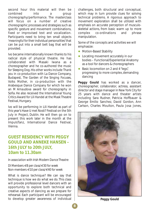second hour this material will then be combined into a group choreography/performance. The masterclass will focus on a number of creative choreographic processes and strategies such as specific gesture and movement combinations. fixed or improvised text and vocalization. Participants need to bring ten small objects '*meaningful for their individual personalities*' that can be put into a small belt bag that will be provided.

Ivo became internationally known thanks to his radical style of physical theatre. He has collaborated with Masaki Iwana as a choreographer and he co-authored the music for *Sleeping Dog*. His other works include *Thank you* in co-production with La Dance Company, Budapest, *The Garden of the Singing Focuses*, *Volks Mother*, in co-production with the Arabesque Dance Company for which he won an *M Arnaudova* award for choreography in Sofia. He also received the International Young Critics Award for *Lili Handel* at the Mask Theatre Festival, Hungary.

Ivo will be performing in Lili Handel as part of this year's Have U met Nosti? Festival on the 5th July in Project, Dublin. He will then go on to present this work later in the month at the ImpulsTanz, International Dance Festival, Vienna.

# **GUEST RESIDENCY WITH PEGGY GOULD AND ANNEKE HANSEN – 16th JULY to 20th JULY, 10am to 11.30am**

#### *In association with Irish Modern Dance Theatre*

## *DI Members €8 per class/€30 for week Non-members €10 per class/€40 for week*

What is dance technique? We can say that technique is how we do what we do. This class will provide professional level dancers with an opportunity to explore both technical and creative aspects of dancing as we prepare for rehearsal. Each participant will be encouraged to develop greater awareness of individual challenges, both structural and conceptual, which may in turn provide clues for solving technical problems. A rigorous approach to movement exploration shall be utilized with emphasis on accurate perception of musculoskeletal actions, from basic warm up to more complex co-ordinations and phrase manipulation.

Some of the concepts and activities we will emphasize:

- Motion-Based Stability
- Locating movement accurately in our bodies – Functional/Experiential Anatomy as a tool for dancers & choreographers
- Basic locomotion on 2 and 4 "legs", progressing to more complex, demanding dancing

**Peggy Gould** has worked as a dancer, choreographer, collaborator, actress, assistant director and stage manager in New York City for 25 years with dance and theater artists including Sara Rudner, Patricia Hoffbauer & George Emilio Sanchez, David Gordon, Ann Carlson, Charles Moulton, Paula Josa Jones,



**Peggy Gould**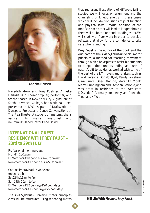

**Anneke Hansen**

Meredith Monk and Tony Kushner. **Anneke Hansen** is a choreographer, performer, and teacher based in New York City. A graduate of Sarah Lawrence College, her work has been presented in NYC as part of Draftworks at Danspace Project, and Dance Conversations at The Flea Theater. A student of anatomy, she is assistant to master anatomist and neuromuscular educator Irene Dowd.

# **INTERNATIONAL GUEST RESIDENCY WITH FREY FAUST – 23rd to 29th JULY**

*Professional morning class Mon-Fri 10-12pm DI Members €10 per class/€40 for week Non-members €12 per class/€50 for week.*

*Contact improvisation workshop (open to all) Sat 28th, 11am to 4pm Sun 29th, 10am to 1pm DI Members €12 per day/€20 both days Non-members €15 per day/€25 both days.*

The Axis Syllabus - universal motor principles class will be structured using repeating motifs

that represent illustrations of different falling studies. We will focus on alignment and the channeling of kinetic energy in these cases, which will include discussions of joint function and physical laws. Gradual addition of the motifs to each other will lead to longer phrases; there will be both floor and standing work. We will start with floor work in order to develop reflexes that allow for the confidence to take risks when standing.

**Frey Faust** is the author of the book and the originator of the Axis Syllabus-universal motor principles; a method for teaching movement through which he aspires to assist his students to deepen their understanding and use of nature's gift to us. He has worked with some of the best of the NY movers and shakers such as David Parsons, Donald Byrd, Randy Warshaw, Gina Buntz, Ohad Nahirin, Meredith Monk, Merce Cunningham and Stephen Petronio, and was artist in residence at the Werkstatt, Düsseldorf, Germany for two years (now the Tanzhaus NRW).



*Still Life With Flowers,* **Frey Faust.**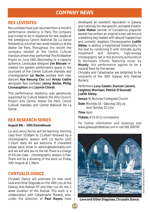# **COMPANY NEWS**

# **REX LEVITATES**

Rex Levitates have just returned from a month's performance residency in Paris. The company was invited to be in residence for two weeks at the prestigious Centre National De La Danse followed by a further two week residency at the Atelier De Paris. Throughout the month the company resided at the Centre Culturel Irlandais where they performed *The All Weather Project* on June 16th, Bloomsday, to a capacity audience. Landscape designer **Jim Bloxam** recreated the garden performance space in the courtyard of the Centre Culturel Irlandais and choreographer **Liz Roche** worked with new dancers **Hye Keoung Cho** and **Arnau Castro** alongside Rex Levitates' **Jenny Roche**, **Philip Connaughton** and **Jazmin Chiodi**.

This performance residency was generously supported by Culture Ireland, the Arts Council, Project Arts Centre, Atelier De Paris, Centre Culturel Irlandais and Centre National De La Danse.

## **REX RESEARCH SERIES**

## *August 6th – 10th DanceHouse*

Liz and Jenny Roche will be teaching morning class from 10.00am to 11.45am followed by a choreographic session with Liz Roche until 1.15pm daily. All are welcome. If interested please send email to admin@rexlevitates.com and we will add you to the list.There is a charge of €6 per class – choreographic session is free. There will be a showing of the work on Friday 10th August at 1.30pm

## **CHRYSALIS DANCE**

Chrysalis Dance will premiere it's new work *Love and Other Disguises* on the 16th July at the Galway Arts festival '07 and then run for the 2 week duration of the festival. This work is a collaboration with Catastrophe Theatre, who, under the direction of **Paul Hayes**, have developed an excellent reputation in Galway and nationaly for site-specific, surrealist theatre. **Colm Maher** (winner of Corcadorca playwrite award) has written an original script, set around a wedding day, loaded with absurd happenings and comedic disasters. Choreographer **Judith Sibley**, is adding a heightened theatricality to the text by combining it with intricate, quirky movement and dynamic, high-energy choreography. Set in the stunning surrounds of St Nicholas's Church, featuring music by **Mundy**, this performance aspires to be a visceral feast for the senses.

Chrysalis and Catastrophe are delighted to be recipients of the 30th Galway Arts Festival Bursary.

Performers: **Lucy Casson**,**Duncan Lacroix**, **Leighton Morrison**, **Patrick O'Donnell**, **Judith Sibley**.

**Venue**: St Nicholas' Collegiate Church

**Date**: Monday 16 - Saturday 28 July (excl Sunday 22 July)

**Time**: 6pm

**Tickets**: €15 (€12 concession)

*For further information and bookings visit www.galwayartsfestival.com or call 091 509700*



Galway Arts Festival *Source:* Galway Arts Festival ource:

*Love and Other Disguises***, Chrysalis Dance.**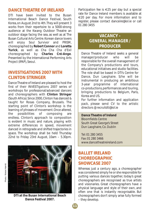# **DANCE THEATRE OF IRELAND**

DTI have been invited to the Busan International Beach Dance Festival, South Korea, on August 2nd to 4th.They will present 3 works from their repertoire to a 5000-strong audience at the Kwang Outdoor Theatre an outdoor stage facing the sea, as well as at The Busan Cultural Arts Centre. Korean dance lovers will enjoy *Soul Survivor* and *PRISM*, choreographed by **Robert Connor** and **Loretta Yurick**, as well as *Cha Cha Cha d'Exil* choreographed by **Charles Cré-Ange**. Presented by the International Performing Arts Project (IPAP), Seoul.

# **INVESTIGATIONS 2007 WITH CLINTON STRINGER**

Dance Theatre of Ireland are pleased to host the first of their INVEST*igations* 2007 series of workshops for professional/advanced dancers and choreographers with **Clinton Stringer** (South Africa). Since 2000, Clinton has danced & taught for Rosas Company, Brussels. The starting point of Clinton's workshop is the learning of phrases of movement. Once altered, the possibilities of composing are endless. Clinton's approach to composition is evident in music and nature, playing with extreme differences in speed, movement danced in retrograde and shifted trajectories in space. The workshop shall be held Thursday 22nd to Friday 23rd August, 10am – 5.30pm.



**DTI at the Busan International Beach Dance Festival 2007.**

Participation fee is  $\in$ 25 per day but a special rate for Dance Ireland members is available at €20 per day. For more information and to register, please contact danceire@iol.ie or call 01 280 3455

# **VACANCY - GENERAL MANAGER / PRODUCER**

Dance Theatre of Ireland seeks a general manager/producer who will be responsible for the overall management of the Company's productions and tours, educational initiatives and studio facilities. The role shall be based in DTI's Centre for Dance, Dun Laoghaire. S/he will be instrumental in producing an ambitious 3-year programme of international co-productions, performances and touring, bringing productions to Belgium, Paris, Korea and US.

For further information and application pack, please send CV to the artistic directors @ recruitdti@iol.ie

**Dance Theatre of Ireland** Bloomfields Centre South Great George's Street Dun Laoghaire, Co. Dublin

Tel: 01 280 3455 Fax: 01 280 3466 www.dancetheatreireland.com

# **BALLET IRELAND CHOREOGRAPHIC SHOWCASE 2007**

Whereas just a century ago, a choreographer was considered simply he or she responsible for putting various dances together, today's great choreographers are recognised as true artists and visionaries. Great choreographers have a physical language and style of their own, and often one that is instantly recognisable. But choreographers don't simply arise fully formed – they develop.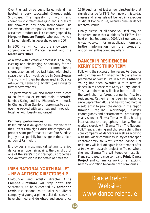Over the last three years Ballet Ireland has hosted a very successful Choreographic Showcase. The quality of work and choreographic talent emerging and success of the showcase has been tremendous. *Die Fledermaus*, the company's most recent and acclaimed production, is co-choreographed by **Morgann Runacre-Temple**, who was involved in Ballet Ireland's first ever showcase in 2004.

In 2007 we will co-host the showcase in conjunction with **Dance Ireland** and the **Meath Arts Office**.

As always with a creative process, it is a hugely exciting and challenging opportunity for the choreographers. The commissioned choreographers will be facilitated with studio space over a four-week period in DanceHouse. The work will then be showcased in Solstice Arts Centre, Navan on July 19th. *(See listings for further performances)*

The performance will also include two pieces taken from Ballet Ireland main repertoire, *Bamboo Spring* and *Irish Rhapsody* with music by Charles Villiers Stanford. It promises to be an evening packed with surprises and innovation together with beauty and grace!

## **Farmleigh performances**

Ballet Ireland is delighted to be involved with the OPW at Farmleigh House. The company will present short performances over four Sundays in July on a specially built stage in the sunken garden at Farmleigh.

It provides a most magical setting to enjoy dance in an open air against the backdrop of one of the state's most prestigious properties. See www.farmleigh.ie for details of times etc.

## **IRISH NATIONAL YOUTH BALLET – NEW ARTISTIC DIRECTORSHIP**

Co-founder and artistic director **Anne Campbell-Crawford** will step down this September, to be succeeded by **Katherine Lewis**. Irish National Youth Ballet is a vibrant company of young aspiring ballet dancers who have charmed and delighted audiences since 1996. And it's not just a new directorship that signals change for INYB. From now on, Saturday classes and rehearsals will be held in a spacious studio at DanceHouse, Ireland's premier dance rehearsal venue.

Finally, please let all those you feel may be interested know that auditions for INYB will be held on 1st September, 2007. Visit our website www.inybco.com for an application form and further information on the wonderful opportunities this company offers.

# **DANCER IN RESIDENCE IN KERRY GETS THIRD TERM**

Following the success of her recent Per Cent for Arts commission *Athmhachnaimh (Reflections)*, premiered at Siamsa Tire in March, **Catherine Young** has been awarded a third term as dancer-in-residence with Kerry County Council. This reappointment will allow her to build on the work she has forged during her first two residencies. Catherine has been in residence since September 2005 and has worked hard as a solo artist to promote dance in the region through regular workshops, classes, choreography and performances - producing a yearly show at Siamsa Tire as well as hosting international choreographers in Kerry. She has worked closely with Siamsa Tíre - The National Folk Theatre, training and choreographing their core company of dancers as well as working with the wider community in styles that span contemporary to West African dance. Her residency will kick off again in September after a two-week research project in Tralee where she and Siamsa Tire will together host San Francisco-based dance company **Printz Dance Project** and commence work on an exciting new collaboration between both companies.

Dance Ireland Website: www.danceireland.ie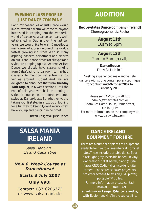# **EVENING CLASS PROFILE – JUST DANCE COMPANY**

I and my colleagues at Just Dance would like to extend a warm welcome to anyone interested in stepping into the wonderful world of dance. As a dance company wellestablished in Dublin over the last ten years, we would like to wish DanceHouse many years of success in one of the world's fastest growing industries. With so many aspiring dancers, performers and artistes on our island, dance classes of all types and styles are popping up everywhere! At Just Dance, we already have classes ranging from Salsa/Latino to ballroom to hip-hop classes – to mention just a few - in 12 venues around Dublin! And we are delighted to announce that from **Tuesday 14th August**, in 6-week sessions until the end of this year, we shall be running a series of courses in the aforementioned styles at DanceHouse. So whether you're taking your first step in a foxtrot, or looking for a fun way to keep fit, don't worry - we'll have you up and dancing in no time!

*Owen Cosgrave***, Just Dance**

# **SALSA MANIA IRELAND**

*Salsa Dancing – LA and Cuba style*

*New 8-Week Course at DanceHouse!*

# **Starts 3 July 2007 Only €90!**

Contact: 087 6206372 or www.salsamania.ie

# **AUDITION**

**Rex Levitates Dance Company (Ireland)** Choreographer Liz Roche

> **August 11th** 10am to 6pm

**August 12th** 2pm to 5pm (recall)

> **DanceHouse** Foley St, Dublin 1

Seeking experienced male and female dancers with strong contemporary technique for contract **mid-October 2007** to **February 2008**

Please send CV by July 20th to admin@rexlevitates.com or Room 22a Dame House, Dame Street, Dublin 2, Éire. For more information on the company visit www.rexlevitates.com

# **DANCE IRELAND – EQUIPMENT FOR HIRE**

There are a number of pieces of equipment available for hire to all members at nominal rates. These include: portable dance floor (black/light grey reversible harlequin vinyl dance floor), ballet barres, piano (digital Kawai CN370), digital camcorder, digital camera, iPod stereo speaker, projectors, projector screens, television, DVD player, portable TV trolley. For more information please contact *Duncan at 01 8848103* or **email duncan.keegan@danceireland.ie,** with 'Equipment Hire' in the subject line.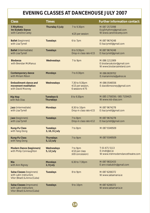# **EVENING CLASSES AT DANCEHOUSE JULY 2007**

| <b>Class</b>                                                                               | <b>Times</b>                              |                                                      | <b>Further information contact:</b>                                        |
|--------------------------------------------------------------------------------------------|-------------------------------------------|------------------------------------------------------|----------------------------------------------------------------------------|
| 5 Rhythms<br>tm Ecstatic Dance<br>with Caroline Carey                                      | <b>Thursday 5 July</b>                    | 7 to 9.30pm<br>€25 per session                       | M: 087 2572098<br>E:cg5rhythms@gmail.com<br>W: www.carolinecarey.com       |
| <b>Ballet</b> (beginners)<br>with Lisa Tyrrell                                             | <b>Tuesdays</b>                           | 6 to 7pm                                             | M: 087 9674248<br>E: lisa.tyrrell@gmail.com                                |
| <b>Ballet</b> (intermediate)<br>with Lisa Tyrrell                                          | <b>Tuesdays</b>                           | 8 to 9.30pm<br>Drop-in class rate €15                | M: 087 9674248<br>E: lisa.tyrrell@gmail.com                                |
| <b>Biodanza</b><br>with Brendan McManus                                                    | Wednesdays                                | 7 to 9pm                                             | M: 086 1211909<br>E: biodanzatutor@gmail.com<br>W: www.biodanzaireland.com |
| <b>Contemporary dance</b><br>with Miriam Ribon                                             | <b>Mondays</b>                            | 7 to 8.30pm                                          | M: 086 8639702<br>E: mariammola@yahoo.ie                                   |
| <b>Embodiment: dance and</b><br>movement meditation<br>with David Mooney                   | Wednesdays                                | 7.30 to 9.30pm<br>€15 per session,<br>6 sessions €75 | M: 086 0546556<br>E: davidbmooney@gmail.com                                |
| <b>Hip Hop</b><br>with Rob Dias                                                            | <b>Tuesdays &amp;</b><br><b>Thursdays</b> | 8 to 9.30pm                                          | M: 085 1756556 / 085 7159425<br>W: www.rob-dias.com                        |
| Jazz (intermediate)<br>with Lisa Tyrrell                                                   | <b>Mondays</b>                            | 8.30 to 10pm<br>Drop-in class rate €15               | M: 087 9674278<br>E: lisa.tyrrell@gmail.com                                |
| Jazz (beginners)<br>with Lisa Tyrrell                                                      | <b>Tuesdays</b>                           | 7 to 8pm<br>Drop-in class rate €12                   | M: 087 9674278<br>E: lisa.tyrrell@gmail.com                                |
| <b>Kung-Fu Class</b><br>with Yang Dong                                                     | <b>Tuesdays</b><br>3, 10, 31 July         | 7 to 8pm                                             | M: 087 9349509                                                             |
| <b>Kung-Fu Class</b><br>with Yang Dong                                                     | <b>Thursdays</b><br>5, 12 July            | 7 to 9pm                                             | M: 087 9349509                                                             |
| <b>Modern Dance (beginners)</b><br>with Philip Connaughton                                 | Wednesdays<br>5, 12 July                  | 7 to 9pm<br>€10 per class<br>(€8 concession)         | T: 016715113<br>E: imdt@iol.ie<br>W: www.irishmoderndancetheatre.com       |
| <b>Nia</b><br>with Ann Rigney                                                              | <b>Mondays</b><br>2, 9 July               | 6.30 to 7.30pm                                       | M: 087 9832433<br>E: ann.niadublin@gmail.com                               |
| <b>Salsa Classes (beginners)</b><br>with Latin instructors<br>Vitor (Brazil) & Anna (Cuba) | <b>Tuesdays</b>                           | 8 to 9pm                                             | M: 087 6206372<br>W: www.salsamania.ie                                     |
| <b>Salsa Classes (improvers)</b><br>with Latin instructors<br>Vitor (Brazil) & Anna (Cuba) | <b>Tuesdays</b>                           | 9 to 10pm                                            | M: 087 6206372<br>W: www.salsamania.je                                     |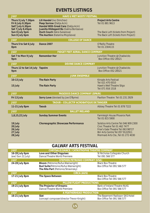# **EVENTS LISTINGS**

| <b>JULY</b>                                                                                                           | <b>HAVE U MET NOSTI? FESTIVAL</b>                                                                                                                                                                                   |                                                                                                                                                                                                    |
|-----------------------------------------------------------------------------------------------------------------------|---------------------------------------------------------------------------------------------------------------------------------------------------------------------------------------------------------------------|----------------------------------------------------------------------------------------------------------------------------------------------------------------------------------------------------|
| Thurs 5 July 7.30pm<br>Fri 6 July 8.30pm<br>Sat7 July 6.30pm<br>Sat 7 July 8.45pm<br>Sun 8 July 5pm<br>Sun 8 July 6pm | Lili Handel (Ivo Dimchev)<br>Peep Sorrow (Dalija Acin)<br>Handel With Great Care (Dalija Acin)<br>Juanita Hildegard Bo (Galina Borissova)<br><b>Ouch Couch (Iskra Sukarova)</b><br>The Auction (Katarina Mojzisova) | <b>Project Arts Centre</b><br>Tel: 01 881 9613<br>The Back Loft (tickets from Project)<br>The Back Loft (tickets from Project)                                                                     |
| <b>JULY</b>                                                                                                           | <b>COLLEGE OF DANCE</b>                                                                                                                                                                                             |                                                                                                                                                                                                    |
| Thurs 5 to Sat 6 July<br>8pm                                                                                          | <b>Dance 2007</b>                                                                                                                                                                                                   | O'Reilly Theatre<br>Tel: 01 2304115                                                                                                                                                                |
| <b>JULY</b>                                                                                                           | <b>FIDGET FEET AERIAL DANCE COMPANY</b>                                                                                                                                                                             |                                                                                                                                                                                                    |
| Sat 7 to Mon 9 July<br>9pm                                                                                            | <b>Remember Her</b>                                                                                                                                                                                                 | Junction Theatre @ Chadwicks<br>Box Office: 052 28521                                                                                                                                              |
| <b>JULY</b><br><b>DEVINE DANCE COMPANY</b>                                                                            |                                                                                                                                                                                                                     |                                                                                                                                                                                                    |
| Thurs 12 to Sat 14 July Tapeire<br>9pm                                                                                |                                                                                                                                                                                                                     | Junction Theatre @ Chadwicks<br>Box Office: 052 28521                                                                                                                                              |
| <b>JULY</b><br><b>JUNK ENSEMBLE</b>                                                                                   |                                                                                                                                                                                                                     |                                                                                                                                                                                                    |
| 10-13 July<br>15 July                                                                                                 | <b>The Rain Party</b><br><b>The Rain Party</b>                                                                                                                                                                      | Kinsale Arts Festival<br>Tel: 021 470 0010<br>Hawk's Well Theatre Sligo<br>Tel: 071 916 1518                                                                                                       |
| <b>JULY</b><br><b>PASODOS DANCE COMPANY (SPAIN)</b>                                                                   |                                                                                                                                                                                                                     |                                                                                                                                                                                                    |
| Fri 13 July                                                                                                           | <b>Sorry Love</b> (devised by Joe O'Byrne)                                                                                                                                                                          | Pavilion Theatre Tel: 01 231 2929                                                                                                                                                                  |
| <b>JULY</b>                                                                                                           | <b>TAOUB - COLLECTIF ACROBATIQUE DE TANGIER</b>                                                                                                                                                                     |                                                                                                                                                                                                    |
| 11-21 July 8pm                                                                                                        | <b>Taoub</b>                                                                                                                                                                                                        | Abbey Theatre Tel: 01 878 7222                                                                                                                                                                     |
| <b>JULY</b><br><b>BALLET IRELAND</b>                                                                                  |                                                                                                                                                                                                                     |                                                                                                                                                                                                    |
| 1,8,15,22 July                                                                                                        | <b>Sunday Summer Events</b>                                                                                                                                                                                         | <b>Farmleigh House Phoenix Park</b><br>Tel: 01 815 5900                                                                                                                                            |
| 19 July<br>20 July<br>26 July<br>27 July<br>28 July                                                                   | <b>Choreographic Showcase Performance</b>                                                                                                                                                                           | Solstice Arts Centre Tel: 046 909 2300<br>Civic Theatre Tel: 01 462 7477<br>Friar's Gate Theatre Tel: 063 98727<br><b>Birr Arts Centre Tel: 057 9122911</b><br>Mermaid Arts Cte., Tel: 01 272 4030 |

# **GALWAY ARTS FESTIVAL**

| <b>JULY</b>                          | <b>CHRYSALIS DANCE / CATASTROPHE THEATRE COMPANY</b>                                                                            |                                                                |
|--------------------------------------|---------------------------------------------------------------------------------------------------------------------------------|----------------------------------------------------------------|
| 16-28 July 6pm<br>(excl Sun 22 July) | Love and Other Disguises<br>Dance/Theatre World Premiere                                                                        | St Nicholas Collegiate Church<br>Tel: 091 566 577              |
| <b>JULY</b>                          | <b>STEPHEN PETRONIO COMPANY (USA)</b>                                                                                           |                                                                |
| 24-28 July 8pm                       | <b>Bloom</b> (Petronio/Rufus Wainwright)<br><b>Bud Suite</b> (Petronio/Rufus Wainwright)<br>The Rite Part (Petronio/Stravinsky) | <b>Black Box Theatre</b><br>Box Office Tel: 091 566 577        |
| <b>JULY</b>                          | <b>CIRCA (AUS)</b>                                                                                                              |                                                                |
| 17-21 July 8pm                       | The Space Between                                                                                                               | <b>Black Box Theatre</b><br>Box Office Tel: 091 566 577        |
| <b>JULY</b>                          | <b>PILLOW FLIGHT PRODUCTIONS</b>                                                                                                |                                                                |
| 19-21 July 8pm                       | The Projector of Dreams<br>Dance/Theatre World Premiere                                                                         | Bank of Ireland Theatre NUIG<br>Box Office Tel: 091 566 577    |
| <b>JULY</b>                          | A FEATHERHEAD PRODUCTION                                                                                                        |                                                                |
| 16-21 July 8pm                       | Slat<br>(concept composer/director Trevor Knight)                                                                               | The Basement Radisson SAS Hotel<br>Box Office Tel: 091 566 577 |

**15**